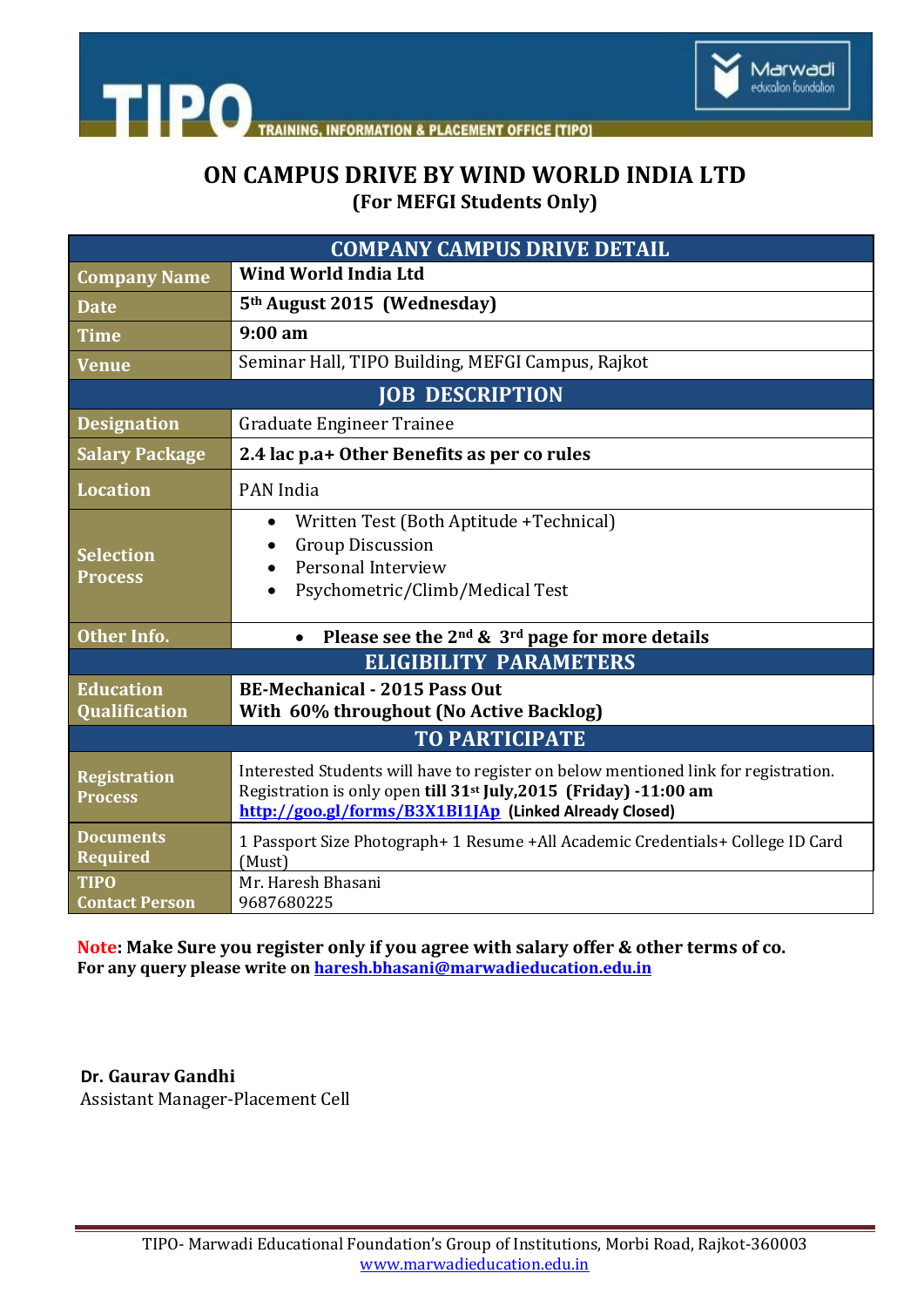



# **ON CAMPUS DRIVE BY WIND WORLD INDIA LTD (For MEFGI Students Only)**

| <b>COMPANY CAMPUS DRIVE DETAIL</b>       |                                                                                                                                                                                                                                |  |  |
|------------------------------------------|--------------------------------------------------------------------------------------------------------------------------------------------------------------------------------------------------------------------------------|--|--|
| <b>Company Name</b>                      | Wind World India Ltd                                                                                                                                                                                                           |  |  |
| Date                                     | 5 <sup>th</sup> August 2015 (Wednesday)                                                                                                                                                                                        |  |  |
| <b>Time</b>                              | $9:00 \text{ am}$                                                                                                                                                                                                              |  |  |
| <b>Venue</b>                             | Seminar Hall, TIPO Building, MEFGI Campus, Rajkot                                                                                                                                                                              |  |  |
| <b>JOB DESCRIPTION</b>                   |                                                                                                                                                                                                                                |  |  |
| <b>Designation</b>                       | Graduate Engineer Trainee                                                                                                                                                                                                      |  |  |
| <b>Salary Package</b>                    | 2.4 lac p.a+ Other Benefits as per co rules                                                                                                                                                                                    |  |  |
| <b>Location</b>                          | PAN India                                                                                                                                                                                                                      |  |  |
| <b>Selection</b><br><b>Process</b>       | Written Test (Both Aptitude +Technical)<br>$\bullet$<br><b>Group Discussion</b><br>Personal Interview<br>Psychometric/Climb/Medical Test                                                                                       |  |  |
| <b>Other Info.</b>                       | Please see the 2 <sup>nd</sup> & 3 <sup>rd</sup> page for more details<br>$\bullet$                                                                                                                                            |  |  |
| <b>ELIGIBILITY PARAMETERS</b>            |                                                                                                                                                                                                                                |  |  |
| <b>Education</b><br><b>Qualification</b> | <b>BE-Mechanical - 2015 Pass Out</b><br>With 60% throughout (No Active Backlog)                                                                                                                                                |  |  |
| <b>TO PARTICIPATE</b>                    |                                                                                                                                                                                                                                |  |  |
| <b>Registration</b><br><b>Process</b>    | Interested Students will have to register on below mentioned link for registration.<br>Registration is only open till 31 <sup>st</sup> July, 2015 (Friday) -11:00 am<br>http://goo.gl/forms/B3X1BI1JAp (Linked Already Closed) |  |  |
| <b>Documents</b><br><b>Required</b>      | 1 Passport Size Photograph+ 1 Resume +All Academic Credentials+ College ID Card<br>(Must)                                                                                                                                      |  |  |
| <b>TIPO</b><br><b>Contact Person</b>     | Mr. Haresh Bhasani<br>9687680225                                                                                                                                                                                               |  |  |

**Note: Make Sure you register only if you agree with salary offer & other terms of co. For any query please write o[n haresh.bhasani@marwadieducation.edu.in](mailto:haresh.bhasani@marwadieducation.edu.in)**

 **Dr. Gaurav Gandhi**  Assistant Manager-Placement Cell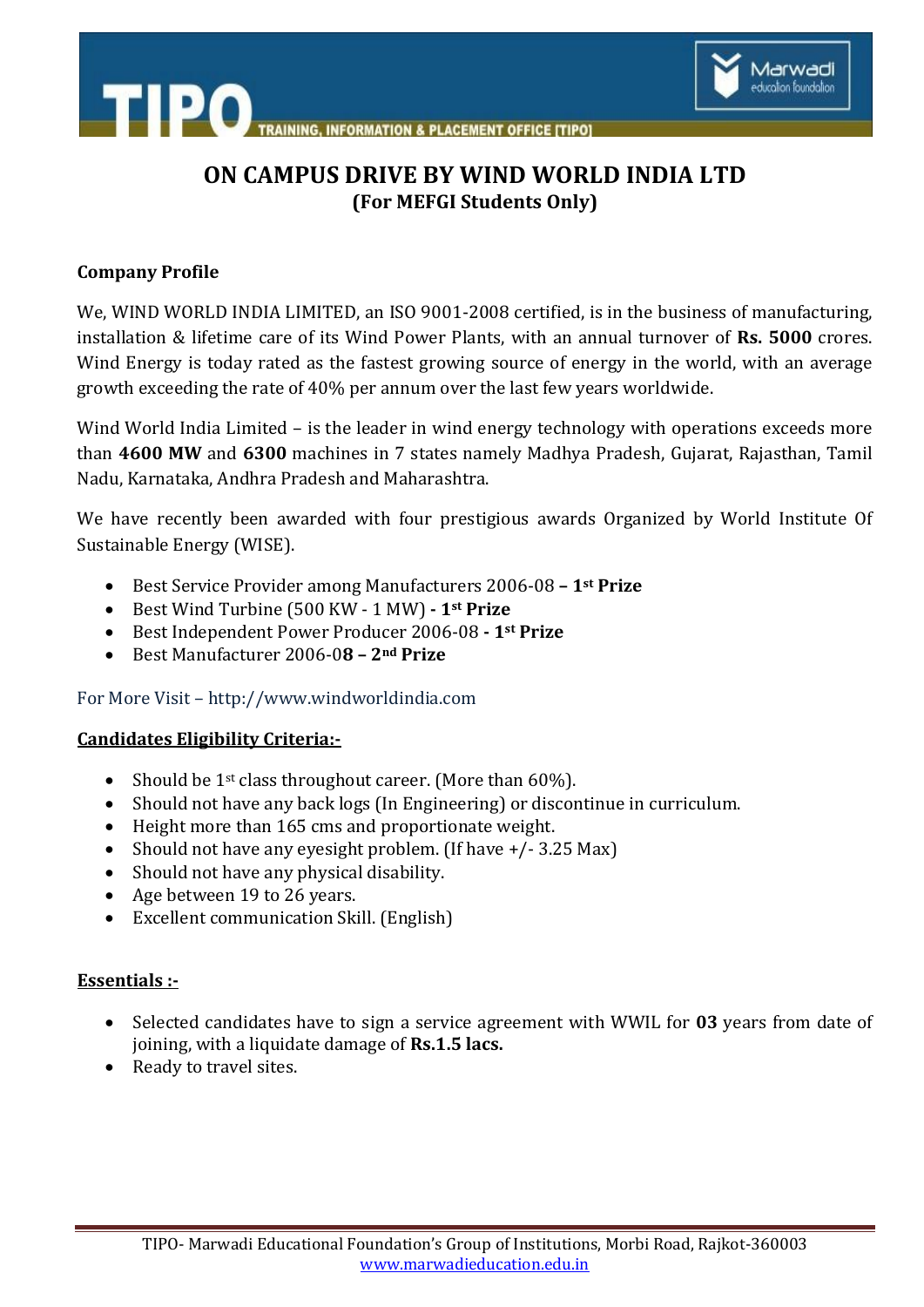



# **ON CAMPUS DRIVE BY WIND WORLD INDIA LTD (For MEFGI Students Only)**

#### **Company Profile**

We, WIND WORLD INDIA LIMITED, an ISO 9001-2008 certified, is in the business of manufacturing, installation & lifetime care of its Wind Power Plants, with an annual turnover of **Rs. 5000** crores. Wind Energy is today rated as the fastest growing source of energy in the world, with an average growth exceeding the rate of 40% per annum over the last few years worldwide.

Wind World India Limited – is the leader in wind energy technology with operations exceeds more than **4600 MW** and **6300** machines in 7 states namely Madhya Pradesh, Gujarat, Rajasthan, Tamil Nadu, Karnataka, Andhra Pradesh and Maharashtra.

We have recently been awarded with four prestigious awards Organized by World Institute Of Sustainable Energy (WISE).

- Best Service Provider among Manufacturers 2006-08 **– 1st Prize**
- Best Wind Turbine (500 KW 1 MW) **- 1st Prize**
- Best Independent Power Producer 2006-08 **- 1st Prize**
- Best Manufacturer 2006-0**8 – 2nd Prize**

For More Visit – http://www.windworldindia.com

## **Candidates Eligibility Criteria:-**

- Should be  $1^{st}$  class throughout career. (More than 60%).
- Should not have any back logs (In Engineering) or discontinue in curriculum.
- Height more than 165 cms and proportionate weight.
- Should not have any eyesight problem. (If have +/- 3.25 Max)
- Should not have any physical disability.
- Age between 19 to 26 years.
- Excellent communication Skill. (English)

## **Essentials :-**

- Selected candidates have to sign a service agreement with WWIL for **03** years from date of joining, with a liquidate damage of **Rs.1.5 lacs.**
- Ready to travel sites.